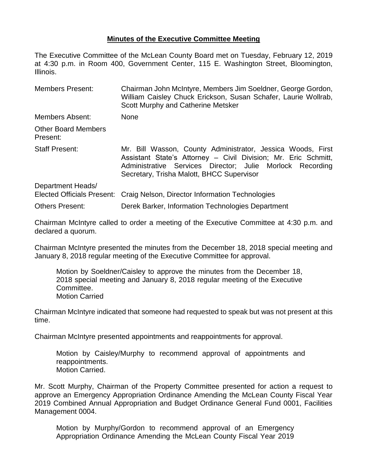## **Minutes of the Executive Committee Meeting**

The Executive Committee of the McLean County Board met on Tuesday, February 12, 2019 at 4:30 p.m. in Room 400, Government Center, 115 E. Washington Street, Bloomington, Illinois.

| <b>Members Present:</b>                                | Chairman John McIntyre, Members Jim Soeldner, George Gordon,<br>William Caisley Chuck Erickson, Susan Schafer, Laurie Wollrab,<br>Scott Murphy and Catherine Metsker                                                                    |  |  |
|--------------------------------------------------------|-----------------------------------------------------------------------------------------------------------------------------------------------------------------------------------------------------------------------------------------|--|--|
| Members Absent:                                        | <b>None</b>                                                                                                                                                                                                                             |  |  |
| <b>Other Board Members</b><br>Present:                 |                                                                                                                                                                                                                                         |  |  |
| <b>Staff Present:</b>                                  | Mr. Bill Wasson, County Administrator, Jessica Woods, First<br>Assistant State's Attorney - Civil Division; Mr. Eric Schmitt,<br>Administrative Services Director; Julie Morlock Recording<br>Secretary, Trisha Malott, BHCC Supervisor |  |  |
| Department Heads/<br><b>Elected Officials Present:</b> | Craig Nelson, Director Information Technologies                                                                                                                                                                                         |  |  |
| <b>Others Present:</b>                                 | Derek Barker, Information Technologies Department                                                                                                                                                                                       |  |  |

Chairman McIntyre called to order a meeting of the Executive Committee at 4:30 p.m. and declared a quorum.

Chairman McIntyre presented the minutes from the December 18, 2018 special meeting and January 8, 2018 regular meeting of the Executive Committee for approval.

Motion by Soeldner/Caisley to approve the minutes from the December 18, 2018 special meeting and January 8, 2018 regular meeting of the Executive Committee. Motion Carried

Chairman McIntyre indicated that someone had requested to speak but was not present at this time.

Chairman McIntyre presented appointments and reappointments for approval.

Motion by Caisley/Murphy to recommend approval of appointments and reappointments. Motion Carried.

Mr. Scott Murphy, Chairman of the Property Committee presented for action a request to approve an Emergency Appropriation Ordinance Amending the McLean County Fiscal Year 2019 Combined Annual Appropriation and Budget Ordinance General Fund 0001, Facilities Management 0004.

Motion by Murphy/Gordon to recommend approval of an Emergency Appropriation Ordinance Amending the McLean County Fiscal Year 2019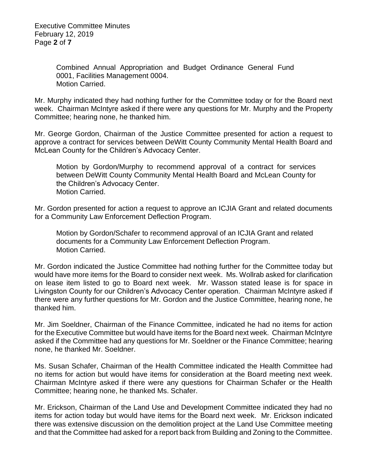Combined Annual Appropriation and Budget Ordinance General Fund 0001, Facilities Management 0004. Motion Carried.

Mr. Murphy indicated they had nothing further for the Committee today or for the Board next week. Chairman McIntyre asked if there were any questions for Mr. Murphy and the Property Committee; hearing none, he thanked him.

Mr. George Gordon, Chairman of the Justice Committee presented for action a request to approve a contract for services between DeWitt County Community Mental Health Board and McLean County for the Children's Advocacy Center.

Motion by Gordon/Murphy to recommend approval of a contract for services between DeWitt County Community Mental Health Board and McLean County for the Children's Advocacy Center. Motion Carried.

Mr. Gordon presented for action a request to approve an ICJIA Grant and related documents for a Community Law Enforcement Deflection Program.

Motion by Gordon/Schafer to recommend approval of an ICJIA Grant and related documents for a Community Law Enforcement Deflection Program. Motion Carried.

Mr. Gordon indicated the Justice Committee had nothing further for the Committee today but would have more items for the Board to consider next week. Ms. Wollrab asked for clarification on lease item listed to go to Board next week. Mr. Wasson stated lease is for space in Livingston County for our Children's Advocacy Center operation. Chairman McIntyre asked if there were any further questions for Mr. Gordon and the Justice Committee, hearing none, he thanked him.

Mr. Jim Soeldner, Chairman of the Finance Committee, indicated he had no items for action for the Executive Committee but would have items for the Board next week. Chairman McIntyre asked if the Committee had any questions for Mr. Soeldner or the Finance Committee; hearing none, he thanked Mr. Soeldner.

Ms. Susan Schafer, Chairman of the Health Committee indicated the Health Committee had no items for action but would have items for consideration at the Board meeting next week. Chairman McIntyre asked if there were any questions for Chairman Schafer or the Health Committee; hearing none, he thanked Ms. Schafer.

Mr. Erickson, Chairman of the Land Use and Development Committee indicated they had no items for action today but would have items for the Board next week. Mr. Erickson indicated there was extensive discussion on the demolition project at the Land Use Committee meeting and that the Committee had asked for a report back from Building and Zoning to the Committee.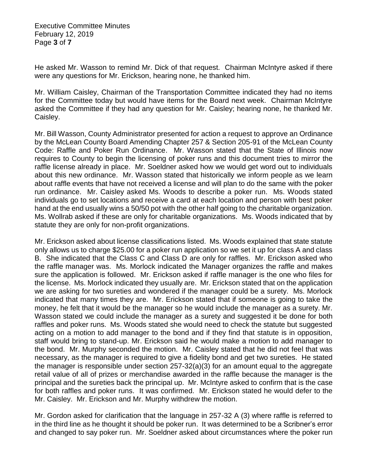Executive Committee Minutes February 12, 2019 Page **3** of **7**

He asked Mr. Wasson to remind Mr. Dick of that request. Chairman McIntyre asked if there were any questions for Mr. Erickson, hearing none, he thanked him.

Mr. William Caisley, Chairman of the Transportation Committee indicated they had no items for the Committee today but would have items for the Board next week. Chairman McIntyre asked the Committee if they had any question for Mr. Caisley; hearing none, he thanked Mr. Caisley.

Mr. Bill Wasson, County Administrator presented for action a request to approve an Ordinance by the McLean County Board Amending Chapter 257 & Section 205-91 of the McLean County Code: Raffle and Poker Run Ordinance. Mr. Wasson stated that the State of Illinois now requires to County to begin the licensing of poker runs and this document tries to mirror the raffle license already in place. Mr. Soeldner asked how we would get word out to individuals about this new ordinance. Mr. Wasson stated that historically we inform people as we learn about raffle events that have not received a license and will plan to do the same with the poker run ordinance. Mr. Caisley asked Ms. Woods to describe a poker run. Ms. Woods stated individuals go to set locations and receive a card at each location and person with best poker hand at the end usually wins a 50/50 pot with the other half going to the charitable organization. Ms. Wollrab asked if these are only for charitable organizations. Ms. Woods indicated that by statute they are only for non-profit organizations.

Mr. Erickson asked about license classifications listed. Ms. Woods explained that state statute only allows us to charge \$25.00 for a poker run application so we set it up for class A and class B. She indicated that the Class C and Class D are only for raffles. Mr. Erickson asked who the raffle manager was. Ms. Morlock indicated the Manager organizes the raffle and makes sure the application is followed. Mr. Erickson asked if raffle manager is the one who files for the license. Ms. Morlock indicated they usually are. Mr. Erickson stated that on the application we are asking for two sureties and wondered if the manager could be a surety. Ms. Morlock indicated that many times they are. Mr. Erickson stated that if someone is going to take the money, he felt that it would be the manager so he would include the manager as a surety. Mr. Wasson stated we could include the manager as a surety and suggested it be done for both raffles and poker runs. Ms. Woods stated she would need to check the statute but suggested acting on a motion to add manager to the bond and if they find that statute is in opposition, staff would bring to stand-up. Mr. Erickson said he would make a motion to add manager to the bond. Mr. Murphy seconded the motion. Mr. Caisley stated that he did not feel that was necessary, as the manager is required to give a fidelity bond and get two sureties. He stated the manager is responsible under section 257-32(a)(3) for an amount equal to the aggregate retail value of all of prizes or merchandise awarded in the raffle because the manager is the principal and the sureties back the principal up. Mr. McIntyre asked to confirm that is the case for both raffles and poker runs. It was confirmed. Mr. Erickson stated he would defer to the Mr. Caisley. Mr. Erickson and Mr. Murphy withdrew the motion.

Mr. Gordon asked for clarification that the language in 257-32 A (3) where raffle is referred to in the third line as he thought it should be poker run. It was determined to be a Scribner's error and changed to say poker run. Mr. Soeldner asked about circumstances where the poker run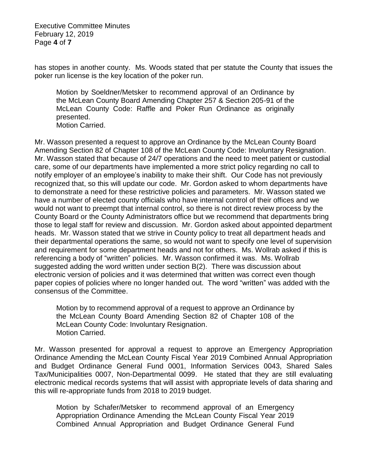Executive Committee Minutes February 12, 2019 Page **4** of **7**

has stopes in another county. Ms. Woods stated that per statute the County that issues the poker run license is the key location of the poker run.

Motion by Soeldner/Metsker to recommend approval of an Ordinance by the McLean County Board Amending Chapter 257 & Section 205-91 of the McLean County Code: Raffle and Poker Run Ordinance as originally presented. Motion Carried.

Mr. Wasson presented a request to approve an Ordinance by the McLean County Board Amending Section 82 of Chapter 108 of the McLean County Code: Involuntary Resignation. Mr. Wasson stated that because of 24/7 operations and the need to meet patient or custodial care, some of our departments have implemented a more strict policy regarding no call to notify employer of an employee's inability to make their shift. Our Code has not previously recognized that, so this will update our code. Mr. Gordon asked to whom departments have to demonstrate a need for these restrictive policies and parameters. Mr. Wasson stated we have a number of elected county officials who have internal control of their offices and we would not want to preempt that internal control, so there is not direct review process by the County Board or the County Administrators office but we recommend that departments bring those to legal staff for review and discussion. Mr. Gordon asked about appointed department heads. Mr. Wasson stated that we strive in County policy to treat all department heads and their departmental operations the same, so would not want to specify one level of supervision and requirement for some department heads and not for others. Ms. Wollrab asked if this is referencing a body of "written" policies. Mr. Wasson confirmed it was. Ms. Wollrab suggested adding the word written under section B(2). There was discussion about electronic version of policies and it was determined that written was correct even though paper copies of policies where no longer handed out. The word "written" was added with the consensus of the Committee.

Motion by to recommend approval of a request to approve an Ordinance by the McLean County Board Amending Section 82 of Chapter 108 of the McLean County Code: Involuntary Resignation. Motion Carried.

Mr. Wasson presented for approval a request to approve an Emergency Appropriation Ordinance Amending the McLean County Fiscal Year 2019 Combined Annual Appropriation and Budget Ordinance General Fund 0001, Information Services 0043, Shared Sales Tax/Municipalities 0007, Non-Departmental 0099. He stated that they are still evaluating electronic medical records systems that will assist with appropriate levels of data sharing and this will re-appropriate funds from 2018 to 2019 budget.

Motion by Schafer/Metsker to recommend approval of an Emergency Appropriation Ordinance Amending the McLean County Fiscal Year 2019 Combined Annual Appropriation and Budget Ordinance General Fund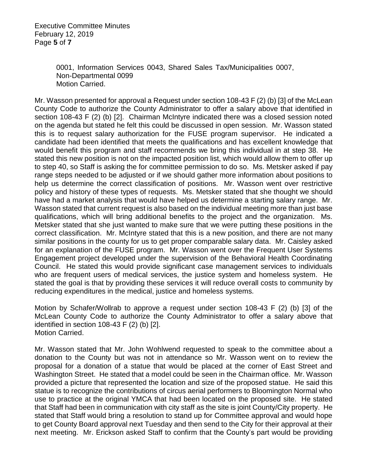Executive Committee Minutes February 12, 2019 Page **5** of **7**

> 0001, Information Services 0043, Shared Sales Tax/Municipalities 0007, Non-Departmental 0099 Motion Carried.

Mr. Wasson presented for approval a Request under section 108-43 F (2) (b) [3] of the McLean County Code to authorize the County Administrator to offer a salary above that identified in section 108-43 F (2) (b) [2]. Chairman McIntyre indicated there was a closed session noted on the agenda but stated he felt this could be discussed in open session. Mr. Wasson stated this is to request salary authorization for the FUSE program supervisor. He indicated a candidate had been identified that meets the qualifications and has excellent knowledge that would benefit this program and staff recommends we bring this individual in at step 38. He stated this new position is not on the impacted position list, which would allow them to offer up to step 40, so Staff is asking the for committee permission to do so. Ms. Metsker asked if pay range steps needed to be adjusted or if we should gather more information about positions to help us determine the correct classification of positions. Mr. Wasson went over restrictive policy and history of these types of requests. Ms. Metsker stated that she thought we should have had a market analysis that would have helped us determine a starting salary range. Mr. Wasson stated that current request is also based on the individual meeting more than just base qualifications, which will bring additional benefits to the project and the organization. Ms. Metsker stated that she just wanted to make sure that we were putting these positions in the correct classification. Mr. McIntyre stated that this is a new position, and there are not many similar positions in the county for us to get proper comparable salary data. Mr. Caisley asked for an explanation of the FUSE program. Mr. Wasson went over the Frequent User Systems Engagement project developed under the supervision of the Behavioral Health Coordinating Council. He stated this would provide significant case management services to individuals who are frequent users of medical services, the justice system and homeless system. He stated the goal is that by providing these services it will reduce overall costs to community by reducing expenditures in the medical, justice and homeless systems.

Motion by Schafer/Wollrab to approve a request under section 108-43 F (2) (b) [3] of the McLean County Code to authorize the County Administrator to offer a salary above that identified in section 108-43 F (2) (b) [2]. Motion Carried.

Mr. Wasson stated that Mr. John Wohlwend requested to speak to the committee about a donation to the County but was not in attendance so Mr. Wasson went on to review the proposal for a donation of a statue that would be placed at the corner of East Street and Washington Street. He stated that a model could be seen in the Chairman office. Mr. Wasson provided a picture that represented the location and size of the proposed statue. He said this statue is to recognize the contributions of circus aerial performers to Bloomington Normal who use to practice at the original YMCA that had been located on the proposed site. He stated that Staff had been in communication with city staff as the site is joint County/City property. He stated that Staff would bring a resolution to stand up for Committee approval and would hope to get County Board approval next Tuesday and then send to the City for their approval at their next meeting. Mr. Erickson asked Staff to confirm that the County's part would be providing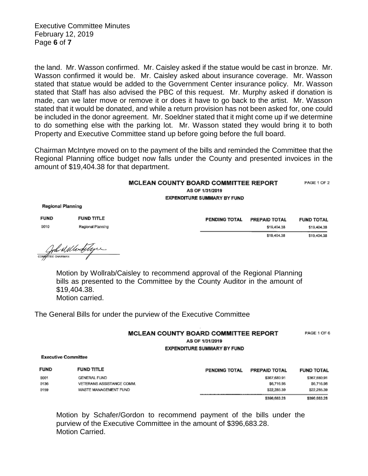Executive Committee Minutes February 12, 2019 Page **6** of **7**

the land. Mr. Wasson confirmed. Mr. Caisley asked if the statue would be cast in bronze. Mr. Wasson confirmed it would be. Mr. Caisley asked about insurance coverage. Mr. Wasson stated that statue would be added to the Government Center insurance policy. Mr. Wasson stated that Staff has also advised the PBC of this request. Mr. Murphy asked if donation is made, can we later move or remove it or does it have to go back to the artist. Mr. Wasson stated that it would be donated, and while a return provision has not been asked for, one could be included in the donor agreement. Mr. Soeldner stated that it might come up if we determine to do something else with the parking lot. Mr. Wasson stated they would bring it to both Property and Executive Committee stand up before going before the full board.

Chairman McIntyre moved on to the payment of the bills and reminded the Committee that the Regional Planning office budget now falls under the County and presented invoices in the amount of \$19,404.38 for that department.

## **MCLEAN COUNTY BOARD COMMITTEE REPORT** PAGE 1 OF 2 AS OF 1/31/2019 EXPENDITURE SUMMARY BY FUND

**Regional Planning** 

| <b>FUND</b> | <b>FUND TITLE</b> | <b>PENDING TOTAL</b> | PREPAID TOTAL | <b>FUND TOTAL</b> |
|-------------|-------------------|----------------------|---------------|-------------------|
| 0010        | Regional Planning |                      | \$19,404.38   | \$19,404.38       |
|             |                   |                      | \$19,404.38   | \$19,404.38       |

John Mile Litype

Motion by Wollrab/Caisley to recommend approval of the Regional Planning bills as presented to the Committee by the County Auditor in the amount of \$19,404.38. Motion carried.

The General Bills for under the purview of the Executive Committee

| <b>MCLEAN COUNTY BOARD COMMITTEE REPORT</b> | PAGE 1 OF 6 |
|---------------------------------------------|-------------|
| AS OF 1/31/2019                             |             |
| <b>EXPENDITURE SUMMARY BY FUND</b>          |             |

**Executive Committee** 

| <b>FUND</b> | <b>FUND TITLE</b>         | PENDING TOTAL | <b>PREPAID TOTAL</b> | <b>FUND TOTAL</b> |
|-------------|---------------------------|---------------|----------------------|-------------------|
| 0001        | <b>GENERAL FUND</b>       |               | \$367,680.91         | \$367,680.91      |
| 0136        | VETERANS ASSISTANCE COMM. |               | \$6,716.98           | \$6,716.98        |
| 0159        | WASTE MANAGEMENT FUND     |               | \$22,285.39          | \$22,285,39       |
|             |                           |               | \$396,683.28         | \$396,683.28      |

Motion by Schafer/Gordon to recommend payment of the bills under the purview of the Executive Committee in the amount of \$396,683.28. Motion Carried.